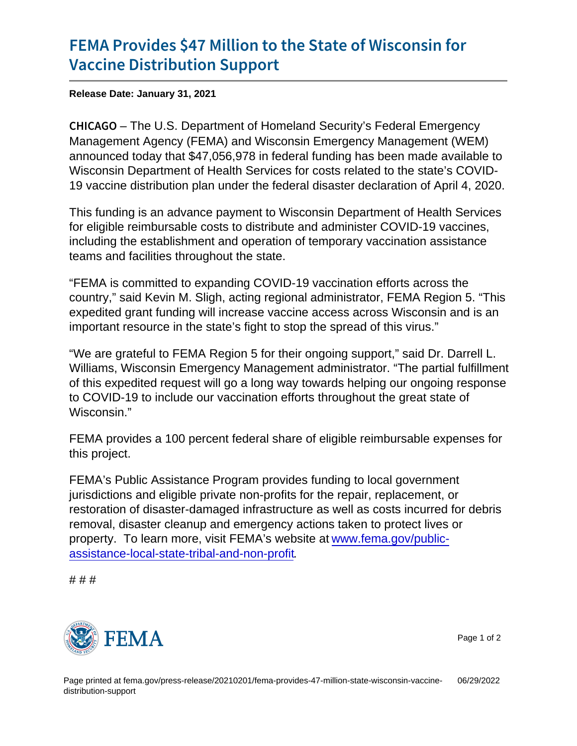## [FEMA Provides \\$47 Million to the](https://www.fema.gov/press-release/20210201/fema-provides-47-million-state-wisconsin-vaccine-distribution-support) State of [Vaccine Distributi](https://www.fema.gov/press-release/20210201/fema-provides-47-million-state-wisconsin-vaccine-distribution-support)on Support

Release Date: January 31, 2021

C H I C A GIO U.S. Department of Homeland Security's Federal Emergency Management Agency (FEMA) and Wisconsin Emergency Management (WEM) announced today that \$47,056,978 in federal funding has been made available to Wisconsin Department of Health Services for costs related to the state's COVID-19 vaccine distribution plan under the federal disaster declaration of April 4, 2020.

This funding is an advance payment to Wisconsin Department of Health Services for eligible reimbursable costs to distribute and administer COVID-19 vaccines, including the establishment and operation of temporary vaccination assistance teams and facilities throughout the state.

"FEMA is committed to expanding COVID-19 vaccination efforts across the country," said Kevin M. Sligh, acting regional administrator, FEMA Region 5. "This expedited grant funding will increase vaccine access across Wisconsin and is an important resource in the state's fight to stop the spread of this virus."

"We are grateful to FEMA Region 5 for their ongoing support," said Dr. Darrell L. Williams, Wisconsin Emergency Management administrator. "The partial fulfillment of this expedited request will go a long way towards helping our ongoing response to COVID-19 to include our vaccination efforts throughout the great state of Wisconsin."

FEMA provides a 100 percent federal share of eligible reimbursable expenses for this project.

FEMA's Public Assistance Program provides funding to local government jurisdictions and eligible private non-profits for the repair, replacement, or restoration of disaster-damaged infrastructure as well as costs incurred for debris removal, disaster cleanup and emergency actions taken to protect lives or property. To learn more, visit FEMA's website at [www.fema.gov/public](http://www.fema.gov/public-assistance-local-state-tribal-and-non-profit)[assistance-local-state-tribal-and-non-profit.](http://www.fema.gov/public-assistance-local-state-tribal-and-non-profit)

# # #



Page 1 of 2